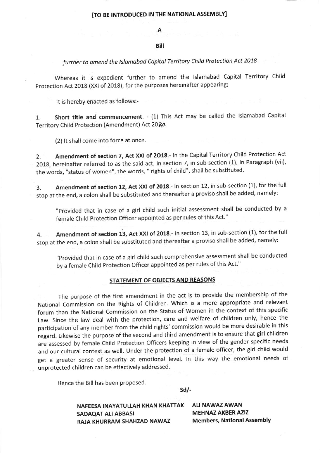# ITO BE INTRODUCEO IN THE NATIONAL ASSEMBLY]

#### Bill

## further to amend the Islamabad Capital Territory Child Protection Act 2018

Whereas it is expedient further to amend the lslamabad Capital Territory Child Protection Act 2018 (XXl of 2018), for the purposes hereinafter appearing;

It is hereby enacted as follows:-

1. Short title and commencement. - {1) This Act may be called the lslamabad Capital Territory Child Protection (Amendment) Act 2020.

(2) lt shall come into force at once

2. Amendment of section 7, Act XXI of 2018.- In the Capital Territory Child Protection Act 2018, hereinafter referred to as the said act, in section 7, in sub-section (1), in Paragraph (vii), the words, "status of women", the words, " rights of child", shall be substituted.

3. Amendment of section 12, Act XXI of 2018.- In section 12, in sub-section (1), for the full stop at the end, a colon shall be substituted and thereafter a proviso shall be added, namely:

"Provided that in case of a girl child such initial assessment shall be conducted by <sup>a</sup> female Child Protection Officer appointed as per rules of this Act."

4. Amendment of section 13, Act XXI of 2018.- In section 13, in sub-section (1), for the full stop at the end, a colon shall be substituted and thereafter a proviso shall be added, namely:

"Provided that in case of a girl child such comprehensive assessment shall be conducted by a female Child Protection Officer appointed as per rules of this Act."

### STATEMENT OF OBJECTS ANO REASONS

fhe purpose of the first amendment in the act is to provide the membership of the National commission on the Rights of children. Which is a more appropriate and relevant forum than the National commission on the status of women in the context of this specific Law. Since the law deal with the protection, care and welfare of children only, hence the participation of any member from the child rights' commission would be more desirable in this regard. Likewise the purpose of the second and third amendment is to ensure that girl children are assessed by female child Protection officers keeping in view of the gender specific needs and our cultural context as well. Under the protection of a female officer, the girl child would get a greater sense of security at emotional level. ln this way the emotional needs of unprotected children can be effectively addressed.

Hence the Bill has been proposed

sdl-

NAFEESA INAYATULLAH KHAN KHATTAK SADAQAT ALI ABBASI RAJA KHURRAM SHAHZAD NAWAZ

ALI NAWAZ AWAN MEHNAZ AKBER AZIZ Members, National Assembly